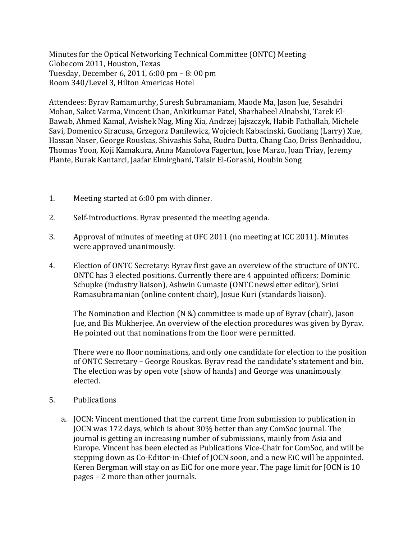Minutes for the Optical Networking Technical Committee (ONTC) Meeting Globecom 2011, Houston, Texas Tuesday, December 6, 2011, 6:00 pm - 8: 00 pm Room 340/Level 3, Hilton Americas Hotel

Attendees: Byrav Ramamurthy, Suresh Subramaniam, Maode Ma, Jason Jue, Sesahdri Mohan, Saket Varma, Vincent Chan, Ankitkumar Patel, Sharhabeel Alnabshi, Tarek El-Bawab, Ahmed Kamal, Avishek Nag, Ming Xia, Andrzej Jajszczyk, Habib Fathallah, Michele Savi, Domenico Siracusa, Grzegorz Danilewicz, Wojciech Kabacinski, Guoliang (Larry) Xue, Hassan Naser, George Rouskas, Shivashis Saha, Rudra Dutta, Chang Cao, Driss Benhaddou, Thomas Yoon, Koji Kamakura, Anna Manolova Fagertun, Jose Marzo, Joan Triay, Jeremy Plante, Burak Kantarci, Jaafar Elmirghani, Taisir El-Gorashi, Houbin Song

- 1. Meeting started at 6:00 pm with dinner.
- 2. Self-introductions. Byrav presented the meeting agenda.
- 3. Approval of minutes of meeting at OFC 2011 (no meeting at ICC 2011). Minutes were approved unanimously.
- 4. Election of ONTC Secretary: Byrav first gave an overview of the structure of ONTC. ONTC has 3 elected positions. Currently there are 4 appointed officers: Dominic Schupke (industry liaison), Ashwin Gumaste (ONTC newsletter editor), Srini Ramasubramanian (online content chair), Josue Kuri (standards liaison).

The Nomination and Election (N &) committee is made up of Byrav (chair), Jason Jue, and Bis Mukherjee. An overview of the election procedures was given by Byray. He pointed out that nominations from the floor were permitted.

There were no floor nominations, and only one candidate for election to the position of ONTC Secretary – George Rouskas. Byray read the candidate's statement and bio. The election was by open vote (show of hands) and George was unanimously elected.

- 5. Publications
	- a. JOCN: Vincent mentioned that the current time from submission to publication in JOCN was 172 days, which is about 30% better than any ComSoc journal. The journal is getting an increasing number of submissions, mainly from Asia and Europe. Vincent has been elected as Publications Vice-Chair for ComSoc, and will be stepping down as Co-Editor-in-Chief of JOCN soon, and a new EiC will be appointed. Keren Bergman will stay on as EiC for one more year. The page limit for JOCN is  $10$ pages – 2 more than other journals.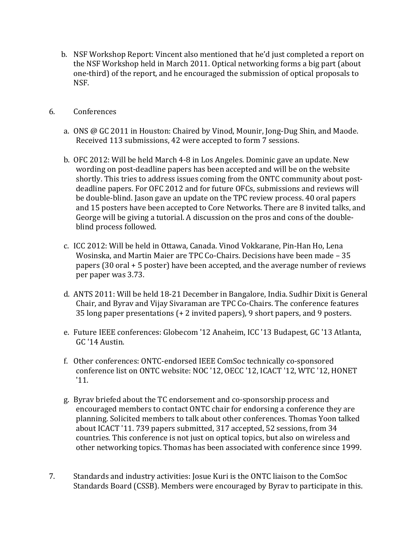- b. NSF Workshop Report: Vincent also mentioned that he'd just completed a report on the NSF Workshop held in March 2011. Optical networking forms a big part (about one-third) of the report, and he encouraged the submission of optical proposals to NSF.
- 6. Conferences
	- a. ONS @ GC 2011 in Houston: Chaired by Vinod, Mounir, Jong-Dug Shin, and Maode. Received 113 submissions, 42 were accepted to form 7 sessions.
	- b. OFC 2012: Will be held March 4-8 in Los Angeles. Dominic gave an update. New wording on post-deadline papers has been accepted and will be on the website shortly. This tries to address issues coming from the ONTC community about postdeadline papers. For OFC 2012 and for future OFCs, submissions and reviews will be double-blind. Jason gave an update on the TPC review process. 40 oral papers and 15 posters have been accepted to Core Networks. There are 8 invited talks, and George will be giving a tutorial. A discussion on the pros and cons of the doubleblind process followed.
	- c. ICC 2012: Will be held in Ottawa, Canada. Vinod Vokkarane, Pin-Han Ho, Lena Wosinska, and Martin Maier are TPC Co-Chairs. Decisions have been made - 35 papers (30 oral + 5 poster) have been accepted, and the average number of reviews per paper was 3.73.
	- d. ANTS 2011: Will be held 18-21 December in Bangalore, India. Sudhir Dixit is General Chair, and Byrav and Vijay Sivaraman are TPC Co-Chairs. The conference features 35 long paper presentations  $(+ 2)$  invited papers), 9 short papers, and 9 posters.
	- e. Future IEEE conferences: Globecom '12 Anaheim, ICC '13 Budapest, GC '13 Atlanta, GC '14 Austin.
	- f. Other conferences: ONTC-endorsed IEEE ComSoc technically co-sponsored conference list on ONTC website: NOC '12, OECC '12, ICACT '12, WTC '12, HONET '11.
	- g. Byrav briefed about the TC endorsement and co-sponsorship process and encouraged members to contact ONTC chair for endorsing a conference they are planning. Solicited members to talk about other conferences. Thomas Yoon talked about ICACT '11. 739 papers submitted, 317 accepted, 52 sessions, from 34 countries. This conference is not just on optical topics, but also on wireless and other networking topics. Thomas has been associated with conference since 1999.
- 7. Standards and industry activities: Josue Kuri is the ONTC liaison to the ComSoc Standards Board (CSSB). Members were encouraged by Byray to participate in this.